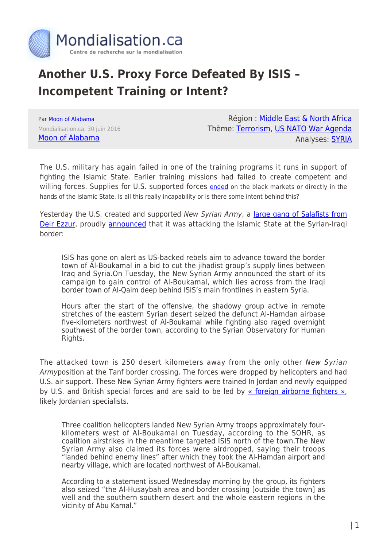

## **Another U.S. Proxy Force Defeated By ISIS – Incompetent Training or Intent?**

Par [Moon of Alabama](https://www.mondialisation.ca/author/moon-of-alabama) Mondialisation.ca, 30 juin 2016 [Moon of Alabama](http://www.moonofalabama.org/2016/06/another-us-proxy-force-defeated-by-is-incompetent-training-or-intent.html)

Région : [Middle East & North Africa](https://www.mondialisation.ca/region/middle-east) Thème: [Terrorism](https://www.mondialisation.ca/theme/9-11-war-on-terrorism), [US NATO War Agenda](https://www.mondialisation.ca/theme/us-nato-war-agenda) Analyses: [SYRIA](https://www.mondialisation.ca/indepthreport/syria-nato-s-next-war)

The U.S. military has again failed in one of the training programs it runs in support of fighting the Islamic State. Earlier training missions had failed to create competent and willing forces. Supplies for U.S. supported forces [ended](http://www.mintpressnews.com/cia-weapons-shipments-destined-syrian-rebels-stolen-emerge-black-market/217791/) on the black markets or directly in the hands of the Islamic State. Is all this really incapability or is there some intent behind this?

Yesterday the U.S. created and supported New Syrian Army, a [large gang of Salafists from](https://news.vice.com/article/syrias-newest-rebel-army-has-its-sights-on-the-islamic-state) [Deir Ezzur,](https://news.vice.com/article/syrias-newest-rebel-army-has-its-sights-on-the-islamic-state) proudly [announced](https://now.mmedia.me/lb/en/NewsReports/567148-isis-on-alert-as-rebels-advance-near-syria-iraq-border) that it was attacking the Islamic State at the Syrian-Iragi border:

ISIS has gone on alert as US-backed rebels aim to advance toward the border town of Al-Boukamal in a bid to cut the jihadist group's supply lines between Iraq and Syria.On Tuesday, the New Syrian Army announced the start of its campaign to gain control of Al-Boukamal, which lies across from the Iraqi border town of Al-Qaim deep behind ISIS's main frontlines in eastern Syria.

Hours after the start of the offensive, the shadowy group active in remote stretches of the eastern Syrian desert seized the defunct Al-Hamdan airbase five-kilometers northwest of Al-Boukamal while fighting also raged overnight southwest of the border town, according to the Syrian Observatory for Human Rights.

The attacked town is 250 desert kilometers away from the only other New Syrian Armyposition at the Tanf border crossing. The forces were dropped by helicopters and had U.S. air support. These New Syrian Army fighters were trained In Jordan and newly equipped by U.S. and British special forces and are said to be led by [« foreign airborne fighters »,](http://mobile.nytimes.com/aponline/2016/06/29/world/middleeast/ap-ml-syria.html) likely Jordanian specialists.

Three coalition helicopters landed New Syrian Army troops approximately fourkilometers west of Al-Boukamal on Tuesday, according to the SOHR, as coalition airstrikes in the meantime targeted ISIS north of the town.The New Syrian Army also claimed its forces were airdropped, saying their troops "landed behind enemy lines" after which they took the Al-Hamdan airport and nearby village, which are located northwest of Al-Boukamal.

According to a statement issued Wednesday morning by the group, its fighters also seized "the Al-Husaybah area and border crossing [outside the town] as well and the southern southern desert and the whole eastern regions in the vicinity of Abu Kamal."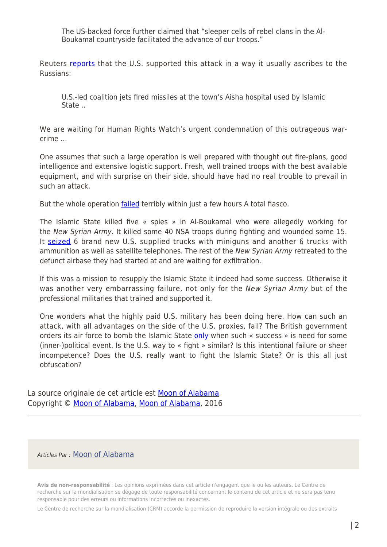The US-backed force further claimed that "sleeper cells of rebel clans in the Al-Boukamal countryside facilitated the advance of our troops."

Reuters [reports](http://uk.reuters.com/article/uk-mideast-crisis-syria-town-idUKKCN0ZE1YG) that the U.S. supported this attack in a way it usually ascribes to the Russians:

U.S.-led coalition jets fired missiles at the town's Aisha hospital used by Islamic State ..

We are waiting for Human Rights Watch's urgent condemnation of this outrageous warcrime …

One assumes that such a large operation is well prepared with thought out fire-plans, good intelligence and extensive logistic support. Fresh, well trained troops with the best available equipment, and with surprise on their side, should have had no real trouble to prevail in such an attack.

But the whole operation [failed](https://twitter.com/todayinsyria/status/748145724651671552/photo/1) terribly within just a few hours A total fiasco.

The Islamic State killed five « spies » in Al-Boukamal who were allegedly working for the New Syrian Army. It killed some 40 NSA troops during fighting and wounded some 15. It [seized](http://www.moonofalabama.org/2016/06/%22https://twitter.com/Terror_Monitor/status/748178531306242050) 6 brand new U.S. supplied trucks with miniguns and another 6 trucks with ammunition as well as satellite telephones. The rest of the New Syrian Army retreated to the defunct airbase they had started at and are waiting for exfiltration.

If this was a mission to resupply the Islamic State it indeed had some success. Otherwise it was another very embarrassing failure, not only for the New Syrian Army but of the professional militaries that trained and supported it.

One wonders what the highly paid U.S. military has been doing here. How can such an attack, with all advantages on the side of the U.S. proxies, fail? The British government orders its air force to bomb the Islamic State [only](http://www.private-eye.co.uk/issue-1421/news) when such « success » is need for some (inner-)political event. Is the U.S. way to « fight » similar? Is this intentional failure or sheer incompetence? Does the U.S. really want to fight the Islamic State? Or is this all just obfuscation?

La source originale de cet article est [Moon of Alabama](http://www.moonofalabama.org/2016/06/another-us-proxy-force-defeated-by-is-incompetent-training-or-intent.html) Copyright © [Moon of Alabama](https://www.mondialisation.ca/author/moon-of-alabama), [Moon of Alabama](http://www.moonofalabama.org/2016/06/another-us-proxy-force-defeated-by-is-incompetent-training-or-intent.html), 2016

## Articles Par : [Moon of Alabama](https://www.mondialisation.ca/author/moon-of-alabama)

**Avis de non-responsabilité** : Les opinions exprimées dans cet article n'engagent que le ou les auteurs. Le Centre de recherche sur la mondialisation se dégage de toute responsabilité concernant le contenu de cet article et ne sera pas tenu responsable pour des erreurs ou informations incorrectes ou inexactes.

Le Centre de recherche sur la mondialisation (CRM) accorde la permission de reproduire la version intégrale ou des extraits